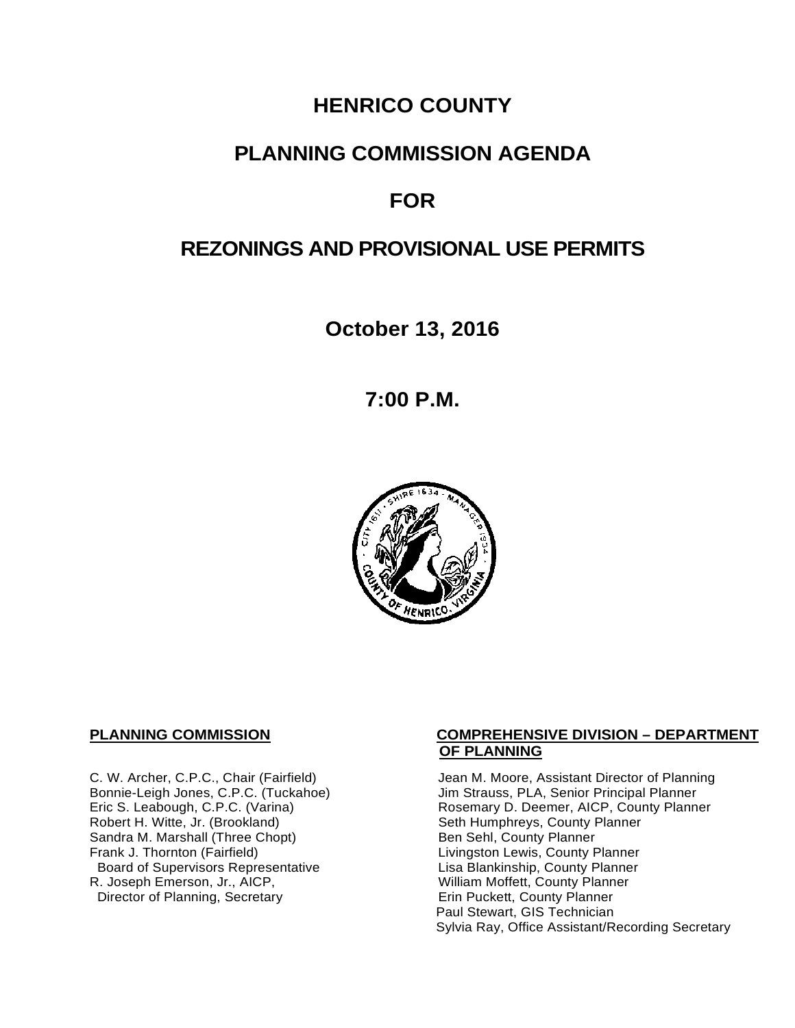# **HENRICO COUNTY**

## **PLANNING COMMISSION AGENDA**

# **FOR**

# **REZONINGS AND PROVISIONAL USE PERMITS**

**October 13, 2016**

**7:00 P.M.**



Sandra M. Marshall (Three Chopt)<br>Frank J. Thornton (Fairfield) Board of Supervisors Representative Fig. 2016 Lisa Blankinship, County Planner<br>L. Joseph Emerson, Jr., AICP, North County Planner (Nilliam Moffett, County Planner) R. Joseph Emerson, Jr., AICP, <br>
Director of Planning, Secretary 
William Moffett, County Planner Director of Planning, Secretary

#### **PLANNING COMMISSION COMPREHENSIVE DIVISION – DEPARTMENT OF PLANNING**

C. W. Archer, C.P.C., Chair (Fairfield) Jean M. Moore, Assistant Director of Planning<br>Bonnie-Leigh Jones, C.P.C. (Tuckahoe) Jim Strauss, PLA, Senior Principal Planner Bonnie-Leigh Jones, C.P.C. (Tuckahoe) Jim Strauss, PLA, Senior Principal Planner<br>Eric S. Leabough, C.P.C. (Varina) Rosemary D. Deemer, AICP, County Planne Eric S. Leabough, C.P.C. (Varina) The Rosemary D. Deemer, AICP, County Planner<br>Robert H. Witte, Jr. (Brookland) The Seth Humphreys, County Planner Seth Humphreys, County Planner<br>Ben Sehl, County Planner Livingston Lewis, County Planner<br>Lisa Blankinship, County Planner Paul Stewart, GIS Technician Sylvia Ray, Office Assistant/Recording Secretary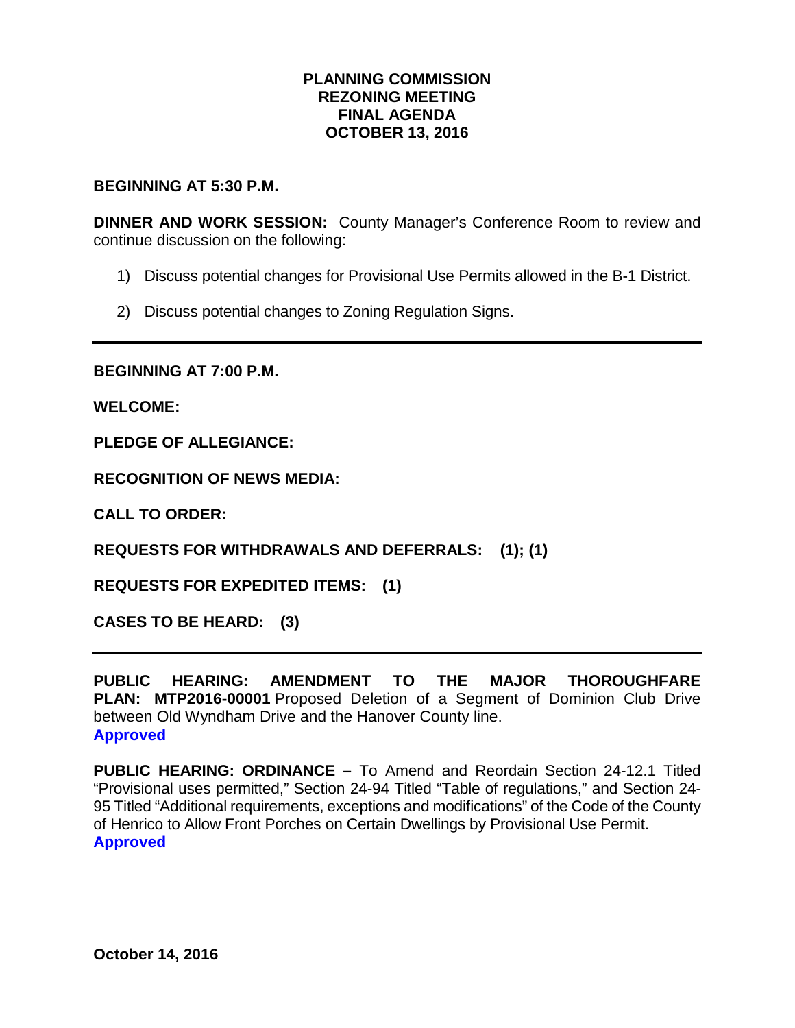#### **PLANNING COMMISSION REZONING MEETING FINAL AGENDA OCTOBER 13, 2016**

#### **BEGINNING AT 5:30 P.M.**

**DINNER AND WORK SESSION:** County Manager's Conference Room to review and continue discussion on the following:

- 1) Discuss potential changes for Provisional Use Permits allowed in the B-1 District.
- 2) Discuss potential changes to Zoning Regulation Signs.

**BEGINNING AT 7:00 P.M.**

**WELCOME:**

**PLEDGE OF ALLEGIANCE:**

**RECOGNITION OF NEWS MEDIA:**

**CALL TO ORDER:**

**REQUESTS FOR WITHDRAWALS AND DEFERRALS: (1); (1)**

**REQUESTS FOR EXPEDITED ITEMS: (1)**

**CASES TO BE HEARD: (3)**

**PUBLIC HEARING: AMENDMENT TO THE MAJOR THOROUGHFARE PLAN: MTP2016-00001** Proposed Deletion of a Segment of Dominion Club Drive between Old Wyndham Drive and the Hanover County line. **Approved**

**PUBLIC HEARING: ORDINANCE –** To Amend and Reordain Section 24-12.1 Titled "Provisional uses permitted," Section 24-94 Titled "Table of regulations," and Section 24- 95 Titled "Additional requirements, exceptions and modifications" of the Code of the County of Henrico to Allow Front Porches on Certain Dwellings by Provisional Use Permit. **Approved**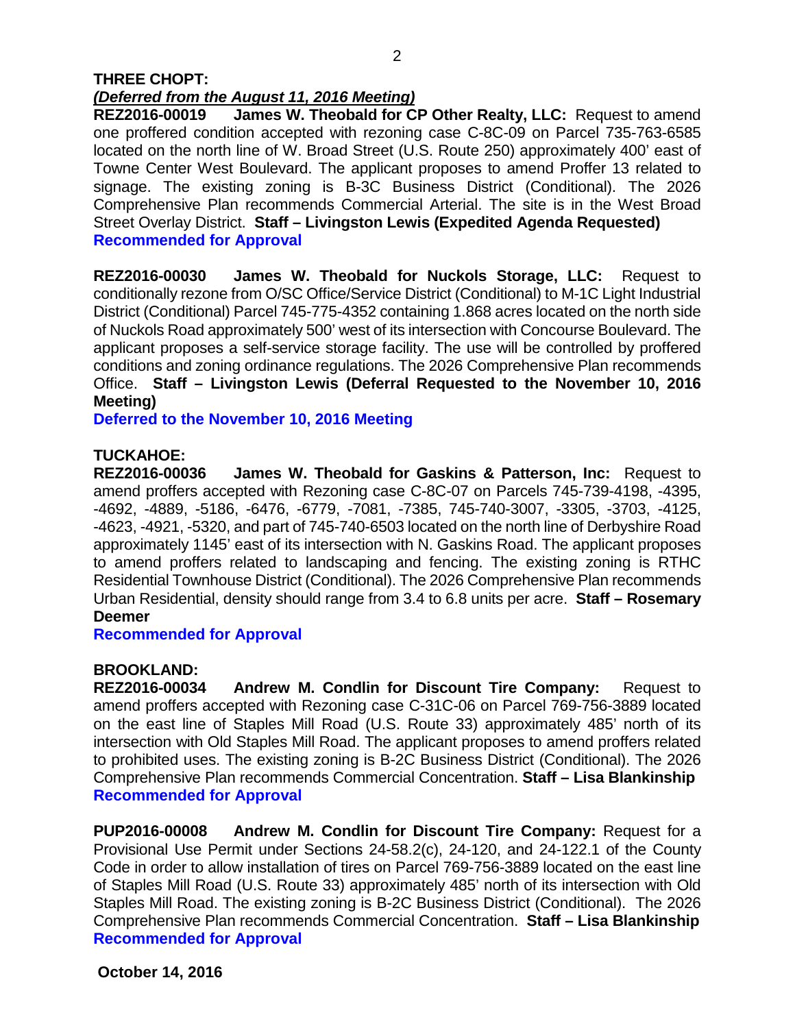#### **THREE CHOPT:**  *(Deferred from the August 11, 2016 Meeting)*

**REZ2016-00019 James W. Theobald for CP Other Realty, LLC:** Request to amend one proffered condition accepted with rezoning case C-8C-09 on Parcel 735-763-6585 located on the north line of W. Broad Street (U.S. Route 250) approximately 400' east of Towne Center West Boulevard. The applicant proposes to amend Proffer 13 related to signage. The existing zoning is B-3C Business District (Conditional). The 2026 Comprehensive Plan recommends Commercial Arterial. The site is in the West Broad Street Overlay District. **Staff – Livingston Lewis (Expedited Agenda Requested) Recommended for Approval**

**REZ2016-00030 James W. Theobald for Nuckols Storage, LLC:** Request to conditionally rezone from O/SC Office/Service District (Conditional) to M-1C Light Industrial District (Conditional) Parcel 745-775-4352 containing 1.868 acres located on the north side of Nuckols Road approximately 500' west of its intersection with Concourse Boulevard. The applicant proposes a self-service storage facility. The use will be controlled by proffered conditions and zoning ordinance regulations. The 2026 Comprehensive Plan recommends Office. **Staff – Livingston Lewis (Deferral Requested to the November 10, 2016 Meeting)**

**Deferred to the November 10, 2016 Meeting**

## **TUCKAHOE:**

**REZ2016-00036 James W. Theobald for Gaskins & Patterson, Inc:** Request to amend proffers accepted with Rezoning case C-8C-07 on Parcels 745-739-4198, -4395, -4692, -4889, -5186, -6476, -6779, -7081, -7385, 745-740-3007, -3305, -3703, -4125, -4623, -4921, -5320, and part of 745-740-6503 located on the north line of Derbyshire Road approximately 1145' east of its intersection with N. Gaskins Road. The applicant proposes to amend proffers related to landscaping and fencing. The existing zoning is RTHC Residential Townhouse District (Conditional). The 2026 Comprehensive Plan recommends Urban Residential, density should range from 3.4 to 6.8 units per acre. **Staff – Rosemary Deemer**

**Recommended for Approval**

### **BROOKLAND:**

**REZ2016-00034 Andrew M. Condlin for Discount Tire Company:** Request to amend proffers accepted with Rezoning case C-31C-06 on Parcel 769-756-3889 located on the east line of Staples Mill Road (U.S. Route 33) approximately 485' north of its intersection with Old Staples Mill Road. The applicant proposes to amend proffers related to prohibited uses. The existing zoning is B-2C Business District (Conditional). The 2026 Comprehensive Plan recommends Commercial Concentration. **Staff – Lisa Blankinship Recommended for Approval**

**PUP2016-00008 Andrew M. Condlin for Discount Tire Company:** Request for a Provisional Use Permit under Sections 24-58.2(c), 24-120, and 24-122.1 of the County Code in order to allow installation of tires on Parcel 769-756-3889 located on the east line of Staples Mill Road (U.S. Route 33) approximately 485' north of its intersection with Old Staples Mill Road. The existing zoning is B-2C Business District (Conditional). The 2026 Comprehensive Plan recommends Commercial Concentration. **Staff – Lisa Blankinship Recommended for Approval**